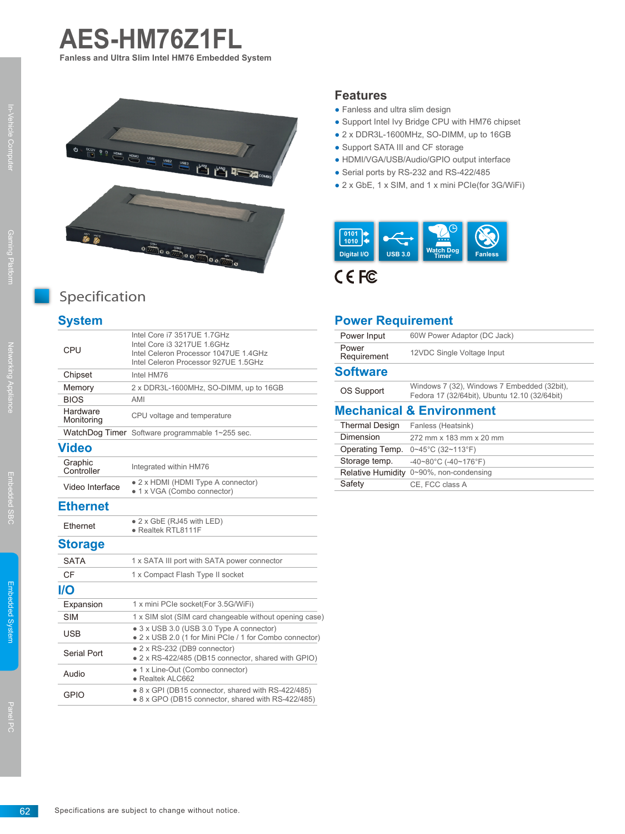



# Specification

### **System**

| CPU                    | Intel Core i7 3517UE 1.7GHz<br>Intel Core i3 3217UE 1.6GHz<br>Intel Celeron Processor 1047UE 1.4GHz<br>Intel Celeron Processor 927UE 1.5GHz |
|------------------------|---------------------------------------------------------------------------------------------------------------------------------------------|
| Chipset                | Intel HM76                                                                                                                                  |
| Memory                 | 2 x DDR3L-1600MHz, SO-DIMM, up to 16GB                                                                                                      |
| <b>BIOS</b>            | AMI                                                                                                                                         |
| Hardware<br>Monitoring | CPU voltage and temperature                                                                                                                 |
|                        | WatchDog Timer Software programmable 1~255 sec.                                                                                             |
| <b>Video</b>           |                                                                                                                                             |
| Graphic<br>Controller  | Integrated within HM76                                                                                                                      |
| Video Interface        | • 2 x HDMI (HDMI Type A connector)<br>• 1 x VGA (Combo connector)                                                                           |
| <b>Ethernet</b>        |                                                                                                                                             |
| Ethernet               | $\bullet$ 2 x GbE (RJ45 with LED)<br>· Realtek RTL8111F                                                                                     |
| <b>Storage</b>         |                                                                                                                                             |
| <b>SATA</b>            | 1 x SATA III port with SATA power connector                                                                                                 |
| CF                     | 1 x Compact Flash Type II socket                                                                                                            |
| <b>I/O</b>             |                                                                                                                                             |
| Expansion              | 1 x mini PCIe socket(For 3.5G/WiFi)                                                                                                         |
| <b>SIM</b>             | 1 x SIM slot (SIM card changeable without opening case)                                                                                     |
| <b>USB</b>             | • 3 x USB 3.0 (USB 3.0 Type A connector)<br>• 2 x USB 2.0 (1 for Mini PCIe / 1 for Combo connector)                                         |
| Serial Port            | • 2 x RS-232 (DB9 connector)<br>• 2 x RS-422/485 (DB15 connector, shared with GPIO)                                                         |
| Audio                  | • 1 x Line-Out (Combo connector)<br>· Realtek ALC662                                                                                        |
| <b>GPIO</b>            | • 8 x GPI (DB15 connector, shared with RS-422/485)<br>• 8 x GPO (DB15 connector, shared with RS-422/485)                                    |

### **Features**

- Fanless and ultra slim design
- Support Intel Ivy Bridge CPU with HM76 chipset
- 2 x DDR3L-1600MHz, SO-DIMM, up to 16GB
- Support SATA III and CF storage
- HDMI/VGA/USB/Audio/GPIO output interface
- Serial ports by RS-232 and RS-422/485
- 2 x GbE, 1 x SIM, and 1 x mini PCIe(for 3G/WiFi)



CEFC

#### **Power Requirement**

| Power Input                         | 60W Power Adaptor (DC Jack)                                                                  |  |
|-------------------------------------|----------------------------------------------------------------------------------------------|--|
| Power<br>Requirement                | 12VDC Single Voltage Input                                                                   |  |
| <b>Software</b>                     |                                                                                              |  |
| OS Support                          | Windows 7 (32), Windows 7 Embedded (32bit),<br>Fedora 17 (32/64bit), Ubuntu 12.10 (32/64bit) |  |
| <b>Mechanical &amp; Environment</b> |                                                                                              |  |
| <b>Thermal Design</b>               | Fanless (Heatsink)                                                                           |  |
| Dimension                           | 272 mm x 183 mm x 20 mm                                                                      |  |
| Operating Temp.                     | $0 \sim 45^{\circ}$ C (32~113°F)                                                             |  |
| Storage temp.                       | $-40-80^{\circ}$ C ( $-40-176^{\circ}$ F)                                                    |  |
|                                     | Relative Humidity 0~90%, non-condensing                                                      |  |
| Safety                              | CE, FCC class A                                                                              |  |

Embedded System

Embedded System